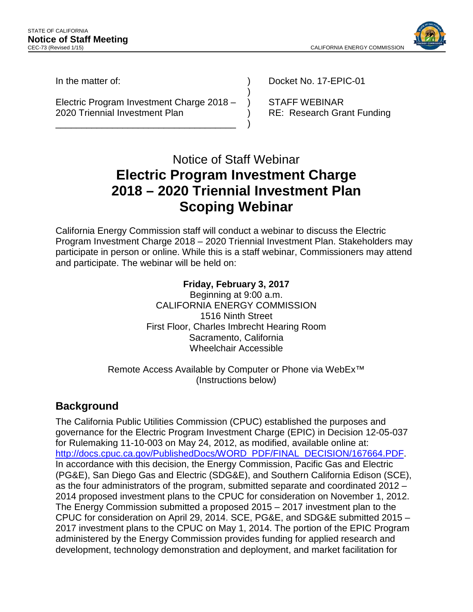

In the matter of:

Electric Program Investment Charge 2018 – 2020 Triennial Investment Plan

\_\_\_\_\_\_\_\_\_\_\_\_\_\_\_\_\_\_\_\_\_\_\_\_\_\_\_\_\_\_\_\_\_\_\_

Docket No. 17-EPIC-01

STAFF WEBINAR RE: Research Grant Funding

# Notice of Staff Webinar **Electric Program Investment Charge 2018 – 2020 Triennial Investment Plan Scoping Webinar**

) ) ) ) )

California Energy Commission staff will conduct a webinar to discuss the Electric Program Investment Charge 2018 – 2020 Triennial Investment Plan. Stakeholders may participate in person or online. While this is a staff webinar, Commissioners may attend and participate. The webinar will be held on:

#### **Friday, February 3, 2017** Beginning at 9:00 a.m. CALIFORNIA ENERGY COMMISSION 1516 Ninth Street First Floor, Charles Imbrecht Hearing Room Sacramento, California Wheelchair Accessible

#### Remote Access Available by Computer or Phone via WebEx™ (Instructions below)

## **Background**

The California Public Utilities Commission (CPUC) established the purposes and governance for the Electric Program Investment Charge (EPIC) in Decision 12-05-037 for Rulemaking 11-10-003 on May 24, 2012, as modified, available online at: [http://docs.cpuc.ca.gov/PublishedDocs/WORD\\_PDF/FINAL\\_DECISION/167664.PDF.](http://docs.cpuc.ca.gov/PublishedDocs/WORD_PDF/FINAL_DECISION/167664.PDF) In accordance with this decision, the Energy Commission, Pacific Gas and Electric (PG&E), San Diego Gas and Electric (SDG&E), and Southern California Edison (SCE), as the four administrators of the program, submitted separate and coordinated 2012 – 2014 proposed investment plans to the CPUC for consideration on November 1, 2012. The Energy Commission submitted a proposed 2015 – 2017 investment plan to the CPUC for consideration on April 29, 2014. SCE, PG&E, and SDG&E submitted 2015 – 2017 investment plans to the CPUC on May 1, 2014. The portion of the EPIC Program administered by the Energy Commission provides funding for applied research and development, technology demonstration and deployment, and market facilitation for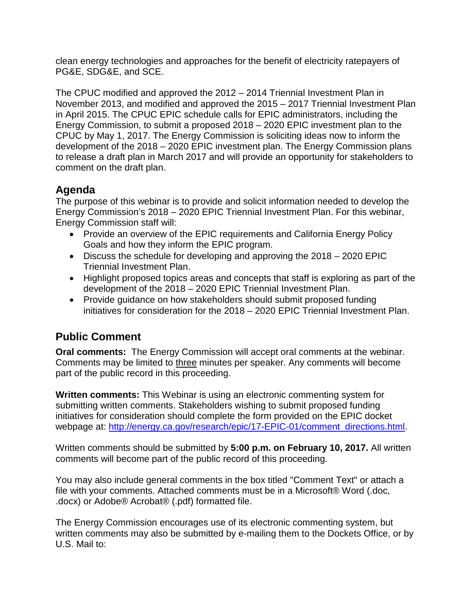clean energy technologies and approaches for the benefit of electricity ratepayers of PG&E, SDG&E, and SCE.

The CPUC modified and approved the 2012 – 2014 Triennial Investment Plan in November 2013, and modified and approved the 2015 – 2017 Triennial Investment Plan in April 2015. The CPUC EPIC schedule calls for EPIC administrators, including the Energy Commission, to submit a proposed 2018 – 2020 EPIC investment plan to the CPUC by May 1, 2017. The Energy Commission is soliciting ideas now to inform the development of the 2018 – 2020 EPIC investment plan. The Energy Commission plans to release a draft plan in March 2017 and will provide an opportunity for stakeholders to comment on the draft plan.

## **Agenda**

The purpose of this webinar is to provide and solicit information needed to develop the Energy Commission's 2018 – 2020 EPIC Triennial Investment Plan. For this webinar, Energy Commission staff will:

- Provide an overview of the EPIC requirements and California Energy Policy Goals and how they inform the EPIC program.
- Discuss the schedule for developing and approving the 2018 2020 EPIC Triennial Investment Plan.
- Highlight proposed topics areas and concepts that staff is exploring as part of the development of the 2018 – 2020 EPIC Triennial Investment Plan.
- Provide guidance on how stakeholders should submit proposed funding initiatives for consideration for the 2018 – 2020 EPIC Triennial Investment Plan.

## **Public Comment**

**Oral comments:** The Energy Commission will accept oral comments at the webinar. Comments may be limited to three minutes per speaker. Any comments will become part of the public record in this proceeding.

**Written comments:** This Webinar is using an electronic commenting system for submitting written comments. Stakeholders wishing to submit proposed funding initiatives for consideration should complete the form provided on the EPIC docket webpage at: [http://energy.ca.gov/research/epic/17-EPIC-01/comment\\_directions.html.](http://energy.ca.gov/research/epic/17-EPIC-01/comment_directions.html)

Written comments should be submitted by **5:00 p.m. on February 10, 2017.** All written comments will become part of the public record of this proceeding.

You may also include general comments in the box titled "Comment Text" or attach a file with your comments. Attached comments must be in a Microsoft® Word (.doc, .docx) or Adobe® Acrobat® (.pdf) formatted file.

The Energy Commission encourages use of its electronic commenting system, but written comments may also be submitted by e-mailing them to the Dockets Office, or by U.S. Mail to: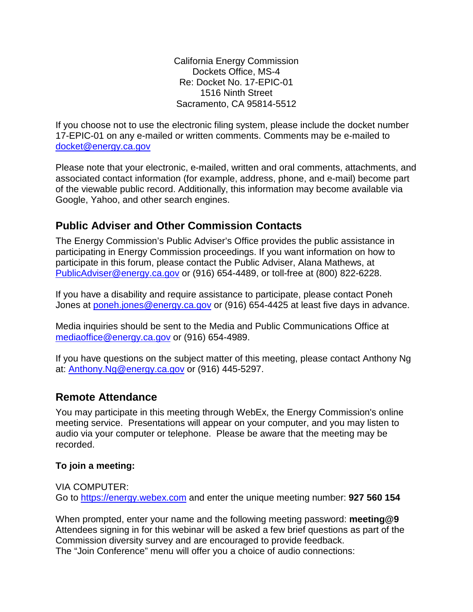California Energy Commission Dockets Office, MS-4 Re: Docket No. 17-EPIC-01 1516 Ninth Street Sacramento, CA 95814-5512

If you choose not to use the electronic filing system, please include the docket number 17-EPIC-01 on any e-mailed or written comments. Comments may be e-mailed to docket@energy.ca.gov

Please note that your electronic, e-mailed, written and oral comments, attachments, and associated contact information (for example, address, phone, and e-mail) become part of the viewable public record. Additionally, this information may become available via Google, Yahoo, and other search engines.

## **Public Adviser and Other Commission Contacts**

The Energy Commission's Public Adviser's Office provides the public assistance in participating in Energy Commission proceedings. If you want information on how to participate in this forum, please contact the Public Adviser, Alana Mathews, at [PublicAdviser@energy.ca.gov](mailto:PublicAdviser@energy.ca.gov) or (916) 654-4489, or toll-free at (800) 822-6228.

If you have a disability and require assistance to participate, please contact Poneh Jones at [poneh.jones@energy.ca.gov](mailto:poneh.jones@energy.ca.gov) or (916) 654-4425 at least five days in advance.

Media inquiries should be sent to the Media and Public Communications Office at [mediaoffice@energy.ca.gov](mailto:mediaoffice@energy.ca.gov) or (916) 654-4989.

If you have questions on the subject matter of this meeting, please contact Anthony Ng at: [Anthony.Ng@energy.ca.gov](mailto:Anthony.Ng@energy.ca.gov) or (916) 445-5297.

#### **Remote Attendance**

You may participate in this meeting through WebEx, the Energy Commission's online meeting service. Presentations will appear on your computer, and you may listen to audio via your computer or telephone. Please be aware that the meeting may be recorded.

#### **To join a meeting:**

VIA COMPUTER: Go to [https://energy.webex.com](https://energy.webex.com/) and enter the unique meeting number: **927 560 154**

When prompted, enter your name and the following meeting password: **meeting@9** Attendees signing in for this webinar will be asked a few brief questions as part of the Commission diversity survey and are encouraged to provide feedback. The "Join Conference" menu will offer you a choice of audio connections: